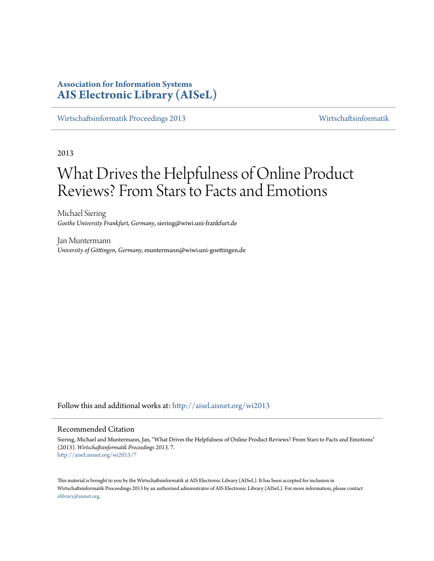# **Association for Information Systems [AIS Electronic Library \(AISeL\)](http://aisel.aisnet.org?utm_source=aisel.aisnet.org%2Fwi2013%2F7&utm_medium=PDF&utm_campaign=PDFCoverPages)**

[Wirtschaftsinformatik Proceedings 2013](http://aisel.aisnet.org/wi2013?utm_source=aisel.aisnet.org%2Fwi2013%2F7&utm_medium=PDF&utm_campaign=PDFCoverPages) [Wirtschaftsinformatik](http://aisel.aisnet.org/wi?utm_source=aisel.aisnet.org%2Fwi2013%2F7&utm_medium=PDF&utm_campaign=PDFCoverPages)

2013

# What Drives the Helpfulness of Online Product Reviews? From Stars to Facts and Emotions

Michael Siering *Goethe University Frankfurt, Germany*, siering@wiwi.uni-frankfurt.de

Jan Muntermann *University of Göttingen, Germany*, muntermann@wiwi.uni-goettingen.de

Follow this and additional works at: [http://aisel.aisnet.org/wi2013](http://aisel.aisnet.org/wi2013?utm_source=aisel.aisnet.org%2Fwi2013%2F7&utm_medium=PDF&utm_campaign=PDFCoverPages)

## Recommended Citation

Siering, Michael and Muntermann, Jan, "What Drives the Helpfulness of Online Product Reviews? From Stars to Facts and Emotions" (2013). *Wirtschaftsinformatik Proceedings 2013*. 7. [http://aisel.aisnet.org/wi2013/7](http://aisel.aisnet.org/wi2013/7?utm_source=aisel.aisnet.org%2Fwi2013%2F7&utm_medium=PDF&utm_campaign=PDFCoverPages)

This material is brought to you by the Wirtschaftsinformatik at AIS Electronic Library (AISeL). It has been accepted for inclusion in Wirtschaftsinformatik Proceedings 2013 by an authorized administrator of AIS Electronic Library (AISeL). For more information, please contact [elibrary@aisnet.org.](mailto:elibrary@aisnet.org%3E)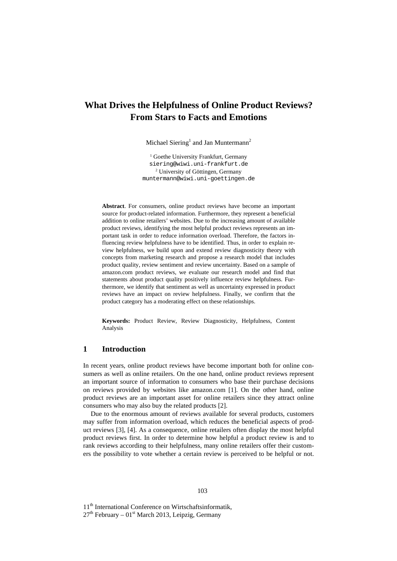# **What Drives the Helpfulness of Online Product Reviews? From Stars to Facts and Emotions**

Michael Siering<sup>1</sup> and Jan Muntermann<sup>2</sup>

<sup>1</sup> Goethe University Frankfurt, Germany siering@wiwi.uni-frankfurt.de <sup>2</sup> University of Göttingen, Germany muntermann@wiwi.uni-goettingen.de

**Abstract**. For consumers, online product reviews have become an important source for product-related information. Furthermore, they represent a beneficial addition to online retailers' websites. Due to the increasing amount of available product reviews, identifying the most helpful product reviews represents an important task in order to reduce information overload. Therefore, the factors influencing review helpfulness have to be identified. Thus, in order to explain review helpfulness, we build upon and extend review diagnosticity theory with concepts from marketing research and propose a research model that includes product quality, review sentiment and review uncertainty. Based on a sample of amazon.com product reviews, we evaluate our research model and find that statements about product quality positively influence review helpfulness. Furthermore, we identify that sentiment as well as uncertainty expressed in product reviews have an impact on review helpfulness. Finally, we confirm that the product category has a moderating effect on these relationships.

**Keywords:** Product Review, Review Diagnosticity, Helpfulness, Content Analysis

# **1 Introduction**

In recent years, online product reviews have become important both for online consumers as well as online retailers. On the one hand, online product reviews represent an important source of information to consumers who base their purchase decisions on reviews provided by websites like amazon.com [1]. On the other hand, online product reviews are an important asset for online retailers since they attract online consumers who may also buy the related products [2].

Due to the enormous amount of reviews available for several products, customers may suffer from information overload, which reduces the beneficial aspects of product reviews [3], [4]. As a consequence, online retailers often display the most helpful product reviews first. In order to determine how helpful a product review is and to rank reviews according to their helpfulness, many online retailers offer their customers the possibility to vote whether a certain review is perceived to be helpful or not.

11<sup>th</sup> International Conference on Wirtschaftsinformatik,

 $27<sup>th</sup>$  February – 01<sup>st</sup> March 2013, Leipzig, Germany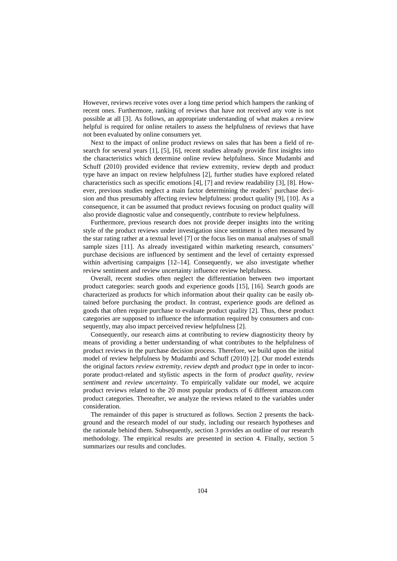However, reviews receive votes over a long time period which hampers the ranking of recent ones. Furthermore, ranking of reviews that have not received any vote is not possible at all [3]. As follows, an appropriate understanding of what makes a review helpful is required for online retailers to assess the helpfulness of reviews that have not been evaluated by online consumers yet.

Next to the impact of online product reviews on sales that has been a field of research for several years [1], [5], [6], recent studies already provide first insights into the characteristics which determine online review helpfulness. Since Mudambi and Schuff (2010) provided evidence that review extremity, review depth and product type have an impact on review helpfulness [2], further studies have explored related characteristics such as specific emotions [4], [7] and review readability [3], [8]. However, previous studies neglect a main factor determining the readers' purchase decision and thus presumably affecting review helpfulness: product quality [9], [10]. As a consequence, it can be assumed that product reviews focusing on product quality will also provide diagnostic value and consequently, contribute to review helpfulness.

Furthermore, previous research does not provide deeper insights into the writing style of the product reviews under investigation since sentiment is often measured by the star rating rather at a textual level [7] or the focus lies on manual analyses of small sample sizes [11]. As already investigated within marketing research, consumers' purchase decisions are influenced by sentiment and the level of certainty expressed within advertising campaigns [12–14]. Consequently, we also investigate whether review sentiment and review uncertainty influence review helpfulness.

Overall, recent studies often neglect the differentiation between two important product categories: search goods and experience goods [15], [16]. Search goods are characterized as products for which information about their quality can be easily obtained before purchasing the product. In contrast, experience goods are defined as goods that often require purchase to evaluate product quality [2]. Thus, these product categories are supposed to influence the information required by consumers and consequently, may also impact perceived review helpfulness [2].

Consequently, our research aims at contributing to review diagnosticity theory by means of providing a better understanding of what contributes to the helpfulness of product reviews in the purchase decision process. Therefore, we build upon the initial model of review helpfulness by Mudambi and Schuff (2010) [2]. Our model extends the original factors *review extremity, review depth* and *product type* in order to incorporate product-related and stylistic aspects in the form of *product quality, review sentiment* and *review uncertainty*. To empirically validate our model, we acquire product reviews related to the 20 most popular products of 6 different amazon.com product categories. Thereafter, we analyze the reviews related to the variables under consideration.

The remainder of this paper is structured as follows. Section 2 presents the background and the research model of our study, including our research hypotheses and the rationale behind them. Subsequently, section 3 provides an outline of our research methodology. The empirical results are presented in section 4. Finally, section 5 summarizes our results and concludes.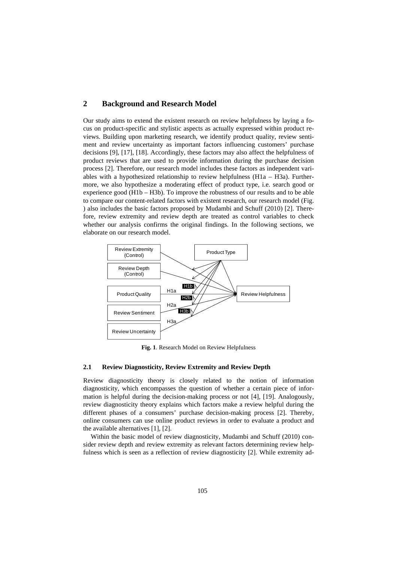# **2 Background and Research Model**

Our study aims to extend the existent research on review helpfulness by laying a focus on product-specific and stylistic aspects as actually expressed within product reviews. Building upon marketing research, we identify product quality, review sentiment and review uncertainty as important factors influencing customers' purchase decisions [9], [17], [18]. Accordingly, these factors may also affect the helpfulness of product reviews that are used to provide information during the purchase decision process [2]. Therefore, our research model includes these factors as independent variables with a hypothesized relationship to review helpfulness ( $H1a - H3a$ ). Furthermore, we also hypothesize a moderating effect of product type, i.e. search good or experience good (H1b – H3b). To improve the robustness of our results and to be able to compare our content-related factors with existent research, our research model (Fig. ) also includes the basic factors proposed by Mudambi and Schuff (2010) [2]. Therefore, review extremity and review depth are treated as control variables to check whether our analysis confirms the original findings. In the following sections, we elaborate on our research model.



**Fig. 1**. Research Model on Review Helpfulness

### **2.1 Review Diagnosticity, Review Extremity and Review Depth**

Review diagnosticity theory is closely related to the notion of information diagnosticity, which encompasses the question of whether a certain piece of information is helpful during the decision-making process or not [4], [19]. Analogously, review diagnosticity theory explains which factors make a review helpful during the different phases of a consumers' purchase decision-making process [2]. Thereby, online consumers can use online product reviews in order to evaluate a product and the available alternatives [1], [2].

Within the basic model of review diagnosticity, Mudambi and Schuff (2010) consider review depth and review extremity as relevant factors determining review helpfulness which is seen as a reflection of review diagnosticity [2]. While extremity ad-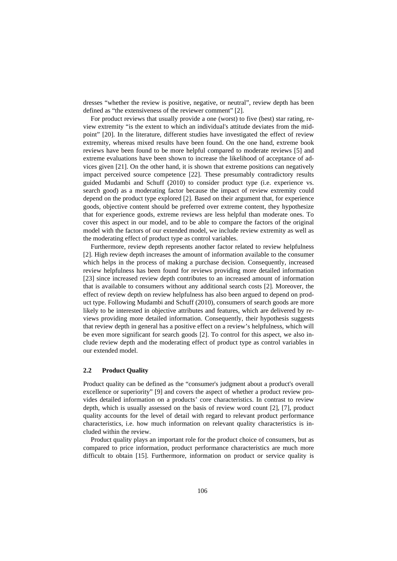dresses "whether the review is positive, negative, or neutral", review depth has been defined as "the extensiveness of the reviewer comment" [2].

For product reviews that usually provide a one (worst) to five (best) star rating, review extremity "is the extent to which an individual's attitude deviates from the midpoint" [20]. In the literature, different studies have investigated the effect of review extremity, whereas mixed results have been found. On the one hand, extreme book reviews have been found to be more helpful compared to moderate reviews [5] and extreme evaluations have been shown to increase the likelihood of acceptance of advices given [21]. On the other hand, it is shown that extreme positions can negatively impact perceived source competence [22]. These presumably contradictory results guided Mudambi and Schuff (2010) to consider product type (i.e. experience vs. search good) as a moderating factor because the impact of review extremity could depend on the product type explored [2]. Based on their argument that, for experience goods, objective content should be preferred over extreme content, they hypothesize that for experience goods, extreme reviews are less helpful than moderate ones. To cover this aspect in our model, and to be able to compare the factors of the original model with the factors of our extended model, we include review extremity as well as the moderating effect of product type as control variables.

Furthermore, review depth represents another factor related to review helpfulness [2]. High review depth increases the amount of information available to the consumer which helps in the process of making a purchase decision. Consequently, increased review helpfulness has been found for reviews providing more detailed information [23] since increased review depth contributes to an increased amount of information that is available to consumers without any additional search costs [2]. Moreover, the effect of review depth on review helpfulness has also been argued to depend on product type. Following Mudambi and Schuff (2010), consumers of search goods are more likely to be interested in objective attributes and features, which are delivered by reviews providing more detailed information. Consequently, their hypothesis suggests that review depth in general has a positive effect on a review's helpfulness, which will be even more significant for search goods [2]. To control for this aspect, we also include review depth and the moderating effect of product type as control variables in our extended model.

#### **2.2 Product Quality**

Product quality can be defined as the "consumer's judgment about a product's overall excellence or superiority" [9] and covers the aspect of whether a product review provides detailed information on a products' core characteristics. In contrast to review depth, which is usually assessed on the basis of review word count [2], [7], product quality accounts for the level of detail with regard to relevant product performance characteristics, i.e. how much information on relevant quality characteristics is included within the review.

Product quality plays an important role for the product choice of consumers, but as compared to price information, product performance characteristics are much more difficult to obtain [15]. Furthermore, information on product or service quality is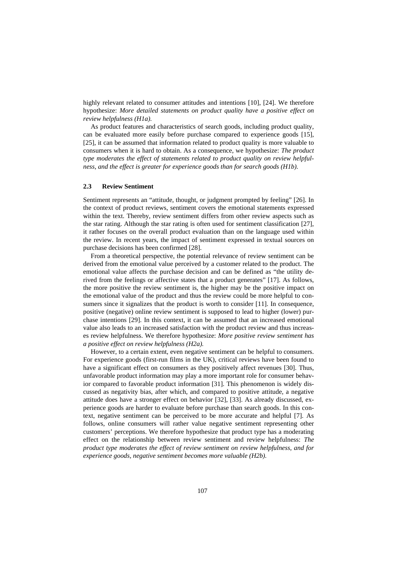highly relevant related to consumer attitudes and intentions [10], [24]. We therefore hypothesize: *More detailed statements on product quality have a positive effect on review helpfulness (H1a).*

As product features and characteristics of search goods, including product quality, can be evaluated more easily before purchase compared to experience goods [15], [25], it can be assumed that information related to product quality is more valuable to consumers when it is hard to obtain. As a consequence, we hypothesize: *The product type moderates the effect of statements related to product quality on review helpfulness, and the effect is greater for experience goods than for search goods (H1b).* 

#### **2.3 Review Sentiment**

Sentiment represents an "attitude, thought, or judgment prompted by feeling" [26]. In the context of product reviews, sentiment covers the emotional statements expressed within the text. Thereby, review sentiment differs from other review aspects such as the star rating. Although the star rating is often used for sentiment classification [27], it rather focuses on the overall product evaluation than on the language used within the review. In recent years, the impact of sentiment expressed in textual sources on purchase decisions has been confirmed [28].

From a theoretical perspective, the potential relevance of review sentiment can be derived from the emotional value perceived by a customer related to the product. The emotional value affects the purchase decision and can be defined as "the utility derived from the feelings or affective states that a product generates" [17]. As follows, the more positive the review sentiment is, the higher may be the positive impact on the emotional value of the product and thus the review could be more helpful to consumers since it signalizes that the product is worth to consider [11]. In consequence, positive (negative) online review sentiment is supposed to lead to higher (lower) purchase intentions [29]. In this context, it can be assumed that an increased emotional value also leads to an increased satisfaction with the product review and thus increases review helpfulness. We therefore hypothesize: *More positive review sentiment has a positive effect on review helpfulness (H2a).*

However, to a certain extent, even negative sentiment can be helpful to consumers. For experience goods (first-run films in the UK), critical reviews have been found to have a significant effect on consumers as they positively affect revenues [30]. Thus, unfavorable product information may play a more important role for consumer behavior compared to favorable product information [31]. This phenomenon is widely discussed as negativity bias, after which, and compared to positive attitude, a negative attitude does have a stronger effect on behavior [32], [33]. As already discussed, experience goods are harder to evaluate before purchase than search goods. In this context, negative sentiment can be perceived to be more accurate and helpful [7]. As follows, online consumers will rather value negative sentiment representing other customers' perceptions. We therefore hypothesize that product type has a moderating effect on the relationship between review sentiment and review helpfulness: *The product type moderates the effect of review sentiment on review helpfulness, and for experience goods, negative sentiment becomes more valuable (H2b).*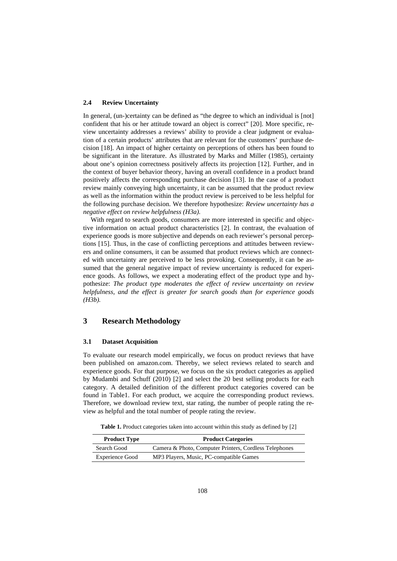#### **2.4 Review Uncertainty**

In general, (un-)certainty can be defined as "the degree to which an individual is [not] confident that his or her attitude toward an object is correct" [20]. More specific, review uncertainty addresses a reviews' ability to provide a clear judgment or evaluation of a certain products' attributes that are relevant for the customers' purchase decision [18]. An impact of higher certainty on perceptions of others has been found to be significant in the literature. As illustrated by Marks and Miller (1985), certainty about one's opinion correctness positively affects its projection [12]. Further, and in the context of buyer behavior theory, having an overall confidence in a product brand positively affects the corresponding purchase decision [13]. In the case of a product review mainly conveying high uncertainty, it can be assumed that the product review as well as the information within the product review is perceived to be less helpful for the following purchase decision. We therefore hypothesize: *Review uncertainty has a negative effect on review helpfulness (H3a).*

With regard to search goods, consumers are more interested in specific and objective information on actual product characteristics [2]. In contrast, the evaluation of experience goods is more subjective and depends on each reviewer's personal perceptions [15]. Thus, in the case of conflicting perceptions and attitudes between reviewers and online consumers, it can be assumed that product reviews which are connected with uncertainty are perceived to be less provoking. Consequently, it can be assumed that the general negative impact of review uncertainty is reduced for experience goods. As follows, we expect a moderating effect of the product type and hypothesize: *The product type moderates the effect of review uncertainty on review helpfulness, and the effect is greater for search goods than for experience goods (H3b).* 

# **3 Research Methodology**

#### **3.1 Dataset Acquisition**

To evaluate our research model empirically, we focus on product reviews that have been published on amazon.com. Thereby, we select reviews related to search and experience goods. For that purpose, we focus on the six product categories as applied by Mudambi and Schuff (2010) [2] and select the 20 best selling products for each category. A detailed definition of the different product categories covered can be found in Table1. For each product, we acquire the corresponding product reviews. Therefore, we download review text, star rating, the number of people rating the review as helpful and the total number of people rating the review.

**Table 1.** Product categories taken into account within this study as defined by [2]

| <b>Product Categories</b><br><b>Product Type</b> |                                                        |  |  |
|--------------------------------------------------|--------------------------------------------------------|--|--|
| Search Good                                      | Camera & Photo, Computer Printers, Cordless Telephones |  |  |
| <b>Experience Good</b>                           | MP3 Players, Music, PC-compatible Games                |  |  |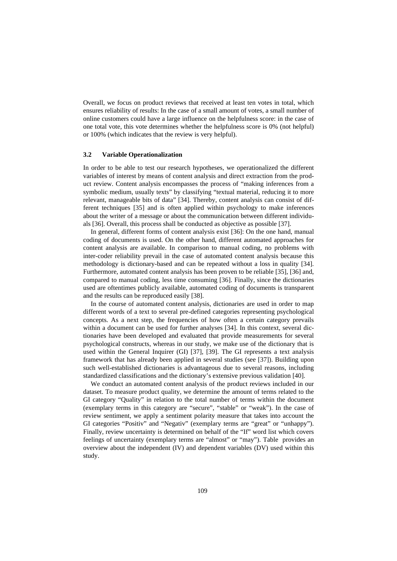Overall, we focus on product reviews that received at least ten votes in total, which ensures reliability of results: In the case of a small amount of votes, a small number of online customers could have a large influence on the helpfulness score: in the case of one total vote, this vote determines whether the helpfulness score is 0% (not helpful) or 100% (which indicates that the review is very helpful).

#### **3.2 Variable Operationalization**

In order to be able to test our research hypotheses, we operationalized the different variables of interest by means of content analysis and direct extraction from the product review. Content analysis encompasses the process of "making inferences from a symbolic medium, usually texts" by classifying "textual material, reducing it to more relevant, manageable bits of data" [34]. Thereby, content analysis can consist of different techniques [35] and is often applied within psychology to make inferences about the writer of a message or about the communication between different individuals [36]. Overall, this process shall be conducted as objective as possible [37].

In general, different forms of content analysis exist [36]: On the one hand, manual coding of documents is used. On the other hand, different automated approaches for content analysis are available. In comparison to manual coding, no problems with inter-coder reliability prevail in the case of automated content analysis because this methodology is dictionary-based and can be repeated without a loss in quality [34]. Furthermore, automated content analysis has been proven to be reliable [35], [36] and, compared to manual coding, less time consuming [36]. Finally, since the dictionaries used are oftentimes publicly available, automated coding of documents is transparent and the results can be reproduced easily [38].

In the course of automated content analysis, dictionaries are used in order to map different words of a text to several pre-defined categories representing psychological concepts. As a next step, the frequencies of how often a certain category prevails within a document can be used for further analyses [34]. In this context, several dictionaries have been developed and evaluated that provide measurements for several psychological constructs, whereas in our study, we make use of the dictionary that is used within the General Inquirer (GI) [37], [39]. The GI represents a text analysis framework that has already been applied in several studies (see [37]). Building upon such well-established dictionaries is advantageous due to several reasons, including standardized classifications and the dictionary's extensive previous validation [40].

We conduct an automated content analysis of the product reviews included in our dataset. To measure product quality, we determine the amount of terms related to the GI category "Quality" in relation to the total number of terms within the document (exemplary terms in this category are "secure", "stable" or "weak"). In the case of review sentiment, we apply a sentiment polarity measure that takes into account the GI categories "Positiv" and "Negativ" (exemplary terms are "great" or "unhappy"). Finally, review uncertainty is determined on behalf of the "If" word list which covers feelings of uncertainty (exemplary terms are "almost" or "may"). Table provides an overview about the independent (IV) and dependent variables (DV) used within this study.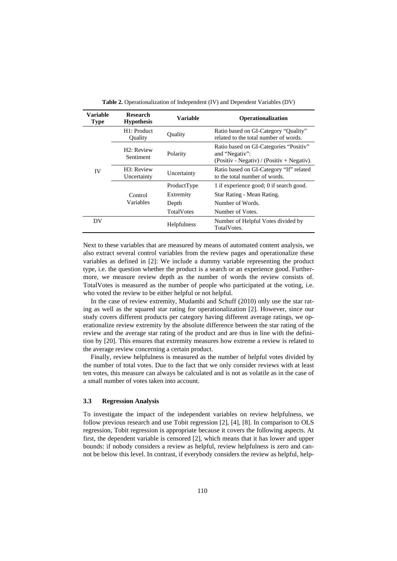| <b>Variable</b><br><b>Type</b> | <b>Research</b><br><b>Hypothesis</b>   | <b>Variable</b>   | Operationalization                                                                                       |
|--------------------------------|----------------------------------------|-------------------|----------------------------------------------------------------------------------------------------------|
|                                | H1: Product<br>Ouality                 | Quality           | Ratio based on GI-Category "Quality"<br>related to the total number of words.                            |
| IV                             | H <sub>2</sub> : Review<br>Sentiment   | Polarity          | Ratio based on GI-Categories "Positiv"<br>and "Negativ":<br>$(Positiv - Negativ) / (Positiv + Negativ).$ |
|                                | H <sub>3</sub> : Review<br>Uncertainty | Uncertainty       | Ratio based on GI-Category "If" related<br>to the total number of words.                                 |
|                                | Control                                | ProductType       | 1 if experience good; 0 if search good.                                                                  |
|                                |                                        | Extremity         | Star Rating - Mean Rating.                                                                               |
|                                | Variables                              | Depth             | Number of Words.                                                                                         |
|                                |                                        | <b>TotalVotes</b> | Number of Votes.                                                                                         |
| DV                             |                                        | Helpfulness       | Number of Helpful Votes divided by<br>Total Votes.                                                       |

**Table 2.** Operationalization of Independent (IV) and Dependent Variables (DV)

Next to these variables that are measured by means of automated content analysis, we also extract several control variables from the review pages and operationalize these variables as defined in [2]: We include a dummy variable representing the product type, i.e. the question whether the product is a search or an experience good. Furthermore, we measure review depth as the number of words the review consists of. TotalVotes is measured as the number of people who participated at the voting, i.e. who voted the review to be either helpful or not helpful.

In the case of review extremity, Mudambi and Schuff (2010) only use the star rating as well as the squared star rating for operationalization [2]. However, since our study covers different products per category having different average ratings, we operationalize review extremity by the absolute difference between the star rating of the review and the average star rating of the product and are thus in line with the definition by [20]. This ensures that extremity measures how extreme a review is related to the average review concerning a certain product.

Finally, review helpfulness is measured as the number of helpful votes divided by the number of total votes. Due to the fact that we only consider reviews with at least ten votes, this measure can always be calculated and is not as volatile as in the case of a small number of votes taken into account.

### **3.3 Regression Analysis**

To investigate the impact of the independent variables on review helpfulness, we follow previous research and use Tobit regression [2], [4], [8]. In comparison to OLS regression, Tobit regression is appropriate because it covers the following aspects. At first, the dependent variable is censored [2], which means that it has lower and upper bounds: if nobody considers a review as helpful, review helpfulness is zero and cannot be below this level. In contrast, if everybody considers the review as helpful, help-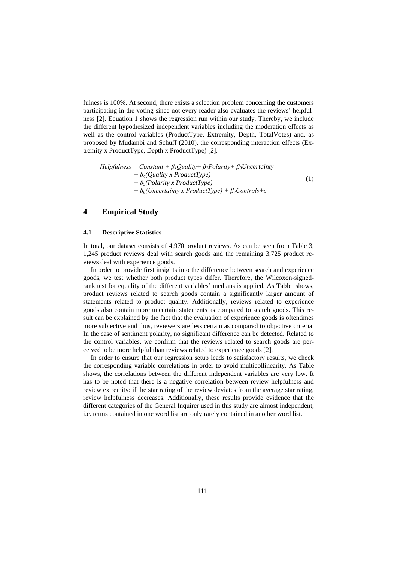fulness is 100%. At second, there exists a selection problem concerning the customers participating in the voting since not every reader also evaluates the reviews' helpfulness [2]. Equation 1 shows the regression run within our study. Thereby, we include the different hypothesized independent variables including the moderation effects as well as the control variables (ProductType, Extremity, Depth, TotalVotes) and, as proposed by Mudambi and Schuff (2010), the corresponding interaction effects (Extremity x ProductType, Depth x ProductType) [2].

$$
Helpfulness = Constant + \beta_1 Quality + \beta_2 Polarity + \beta_3 Uncertainty + \beta_4 (Quality x ProductType) + \beta_5 (Polarity x ProductType) + \beta_6 (Uncertainty x ProductType) + \beta_7 Controls + \varepsilon
$$
 (1)

## **4 Empirical Study**

#### **4.1 Descriptive Statistics**

In total, our dataset consists of 4,970 product reviews. As can be seen from Table 3, 1,245 product reviews deal with search goods and the remaining 3,725 product reviews deal with experience goods.

In order to provide first insights into the difference between search and experience goods, we test whether both product types differ. Therefore, the Wilcoxon-signedrank test for equality of the different variables' medians is applied. As Table shows, product reviews related to search goods contain a significantly larger amount of statements related to product quality. Additionally, reviews related to experience goods also contain more uncertain statements as compared to search goods. This result can be explained by the fact that the evaluation of experience goods is oftentimes more subjective and thus, reviewers are less certain as compared to objective criteria. In the case of sentiment polarity, no significant difference can be detected. Related to the control variables, we confirm that the reviews related to search goods are perceived to be more helpful than reviews related to experience goods [2].

In order to ensure that our regression setup leads to satisfactory results, we check the corresponding variable correlations in order to avoid multicollinearity. As Table shows, the correlations between the different independent variables are very low. It has to be noted that there is a negative correlation between review helpfulness and review extremity: if the star rating of the review deviates from the average star rating, review helpfulness decreases. Additionally, these results provide evidence that the different categories of the General Inquirer used in this study are almost independent, i.e. terms contained in one word list are only rarely contained in another word list.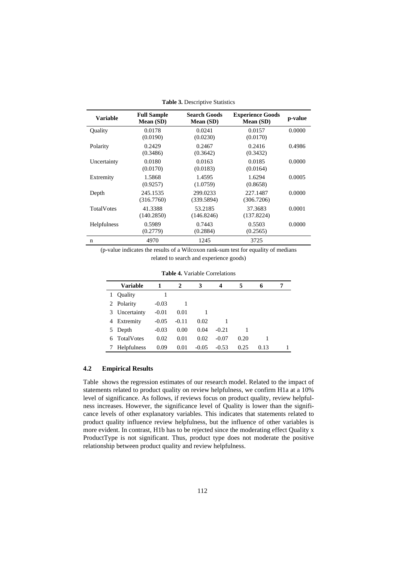| <b>Variable</b>   | <b>Full Sample</b><br>Mean (SD) | <b>Search Goods</b><br>Mean (SD) | <b>Experience Goods</b><br>Mean (SD) | p-value |
|-------------------|---------------------------------|----------------------------------|--------------------------------------|---------|
| Quality           | 0.0178<br>(0.0190)              | 0.0241<br>(0.0230)               | 0.0157<br>(0.0170)                   | 0.0000  |
| Polarity          | 0.2429<br>(0.3486)              | 0.2467<br>(0.3642)               | 0.2416<br>(0.3432)                   | 0.4986  |
| Uncertainty       | 0.0180<br>(0.0170)              | 0.0163<br>(0.0183)               | 0.0185<br>(0.0164)                   | 0.0000  |
| Extremity         | 1.5868<br>(0.9257)              | 1.4595<br>(1.0759)               | 1.6294<br>(0.8658)                   | 0.0005  |
| Depth             | 245.1535<br>(316.7760)          | 299.0233<br>(339.5894)           | 227.1487<br>(306.7206)               | 0.0000  |
| <b>TotalVotes</b> | 41.3388<br>(140.2850)           | 53.2185<br>(146.8246)            | 37.3683<br>(137.8224)                | 0.0001  |
| Helpfulness       | 0.5989<br>(0.2779)              | 0.7443<br>(0.2884)               | 0.5503<br>(0.2565)                   | 0.0000  |
| n                 | 4970                            | 1245                             | 3725                                 |         |

**Table 3.** Descriptive Statistics

(p-value indicates the results of a Wilcoxon rank-sum test for equality of medians related to search and experience goods)

|   | Variable          | 1       | 2       | 3       | 4       | 5    | 6    |  |
|---|-------------------|---------|---------|---------|---------|------|------|--|
| 1 | Quality           |         |         |         |         |      |      |  |
| 2 | Polarity          | $-0.03$ |         |         |         |      |      |  |
| 3 | Uncertainty       | $-0.01$ | 0.01    |         |         |      |      |  |
| 4 | Extremity         | $-0.05$ | $-0.11$ | 0.02    |         |      |      |  |
| 5 | Depth             | $-0.03$ | 0.00    | 0.04    | $-0.21$ |      |      |  |
| 6 | <b>TotalVotes</b> | 0.02    | 0.01    | 0.02    | $-0.07$ | 0.20 |      |  |
|   | Helpfulness       | 0.09    | 0.01    | $-0.05$ | $-0.53$ | 0.25 | 0.13 |  |

**Table 4.** Variable Correlations

#### **4.2 Empirical Results**

Table shows the regression estimates of our research model. Related to the impact of statements related to product quality on review helpfulness, we confirm H1a at a 10% level of significance. As follows, if reviews focus on product quality, review helpfulness increases. However, the significance level of Quality is lower than the significance levels of other explanatory variables. This indicates that statements related to product quality influence review helpfulness, but the influence of other variables is more evident. In contrast, H1b has to be rejected since the moderating effect Quality x ProductType is not significant. Thus, product type does not moderate the positive relationship between product quality and review helpfulness.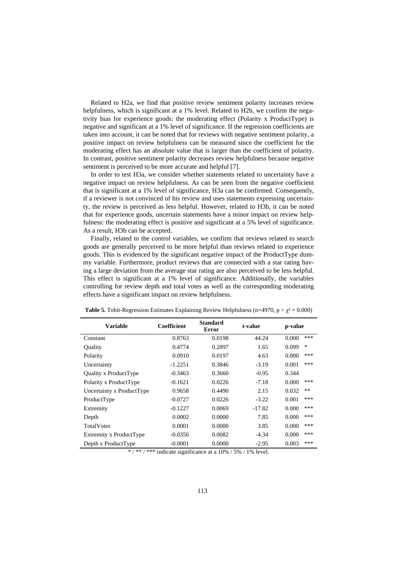Related to H2a, we find that positive review sentiment polarity increases review helpfulness, which is significant at a 1% level. Related to H2b, we confirm the negativity bias for experience goods: the moderating effect (Polarity x ProductType) is negative and significant at a 1% level of significance. If the regression coefficients are taken into account, it can be noted that for reviews with negative sentiment polarity, a positive impact on review helpfulness can be measured since the coefficient for the moderating effect has an absolute value that is larger than the coefficient of polarity. In contrast, positive sentiment polarity decreases review helpfulness because negative sentiment is perceived to be more accurate and helpful [7].

In order to test H3a, we consider whether statements related to uncertainty have a negative impact on review helpfulness. As can be seen from the negative coefficient that is significant at a 1% level of significance, H3a can be confirmed. Consequently, if a reviewer is not convinced of his review and uses statements expressing uncertainty, the review is perceived as less helpful. However, related to H3b, it can be noted that for experience goods, uncertain statements have a minor impact on review helpfulness: the moderating effect is positive and significant at a 5% level of significance. As a result, H3b can be accepted.

Finally, related to the control variables, we confirm that reviews related to search goods are generally perceived to be more helpful than reviews related to experience goods. This is evidenced by the significant negative impact of the ProductType dummy variable. Furthermore, product reviews that are connected with a star rating having a large deviation from the average star rating are also perceived to be less helpful. This effect is significant at a 1% level of significance. Additionally, the variables controlling for review depth and total votes as well as the corresponding moderating effects have a significant impact on review helpfulness.

| <b>Variable</b>           | Coefficient | <b>Standard</b><br><b>Error</b> |          | p-value      |
|---------------------------|-------------|---------------------------------|----------|--------------|
| Constant                  | 0.8763      | 0.0198                          | 44.24    | ***<br>0.000 |
| Ouality                   | 0.4774      | 0.2897                          | 1.65     | *<br>0.099   |
| Polarity                  | 0.0910      | 0.0197                          | 4.63     | ***<br>0.000 |
| Uncertainty               | $-1.2251$   | 0.3846                          | $-3.19$  | ***<br>0.001 |
| Quality x ProductType     | $-0.3463$   | 0.3660                          | $-0.95$  | 0.344        |
| Polarity x ProductType    | $-0.1621$   | 0.0226                          | $-7.18$  | ***<br>0.000 |
| Uncertainty x ProductType | 0.9658      | 0.4490                          | 2.15     | **<br>0.032  |
| ProductType               | $-0.0727$   | 0.0226                          | $-3.22$  | ***<br>0.001 |
| Extremity                 | $-0.1227$   | 0.0069                          | $-17.82$ | ***<br>0.000 |
| Depth                     | 0.0002      | 0.0000                          | 7.85     | ***<br>0.000 |
| <b>TotalVotes</b>         | 0.0001      | 0.0000                          | 3.85     | ***<br>0.000 |
| Extremity x ProductType   | $-0.0356$   | 0.0082                          | $-4.34$  | ***<br>0.000 |
| Depth x ProductType       | $-0.0001$   | 0.0000                          | $-2.95$  | ***<br>0.003 |

**Table 5.** Tobit-Regression Estimates Explaining Review Helpfulness (n=4970, p >  $\chi^2$  = 0.000)

\* / \*\* / \*\*\* indicate significance at a  $10\%$  / 5% / 1% level.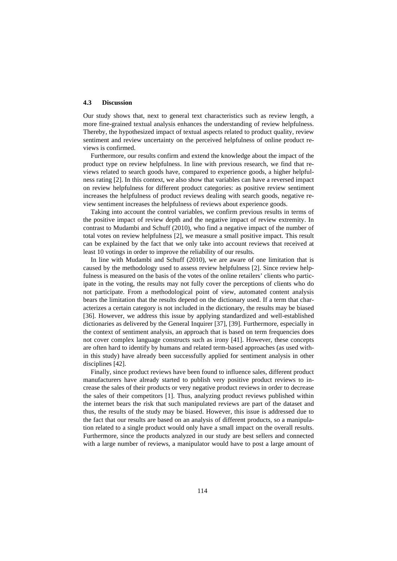#### **4.3 Discussion**

Our study shows that, next to general text characteristics such as review length, a more fine-grained textual analysis enhances the understanding of review helpfulness. Thereby, the hypothesized impact of textual aspects related to product quality, review sentiment and review uncertainty on the perceived helpfulness of online product reviews is confirmed.

Furthermore, our results confirm and extend the knowledge about the impact of the product type on review helpfulness. In line with previous research, we find that reviews related to search goods have, compared to experience goods, a higher helpfulness rating [2]. In this context, we also show that variables can have a reversed impact on review helpfulness for different product categories: as positive review sentiment increases the helpfulness of product reviews dealing with search goods, negative review sentiment increases the helpfulness of reviews about experience goods.

Taking into account the control variables, we confirm previous results in terms of the positive impact of review depth and the negative impact of review extremity. In contrast to Mudambi and Schuff (2010), who find a negative impact of the number of total votes on review helpfulness [2], we measure a small positive impact. This result can be explained by the fact that we only take into account reviews that received at least 10 votings in order to improve the reliability of our results.

In line with Mudambi and Schuff (2010), we are aware of one limitation that is caused by the methodology used to assess review helpfulness [2]. Since review helpfulness is measured on the basis of the votes of the online retailers' clients who participate in the voting, the results may not fully cover the perceptions of clients who do not participate. From a methodological point of view, automated content analysis bears the limitation that the results depend on the dictionary used. If a term that characterizes a certain category is not included in the dictionary, the results may be biased [36]. However, we address this issue by applying standardized and well-established dictionaries as delivered by the General Inquirer [37], [39]. Furthermore, especially in the context of sentiment analysis, an approach that is based on term frequencies does not cover complex language constructs such as irony [41]. However, these concepts are often hard to identify by humans and related term-based approaches (as used within this study) have already been successfully applied for sentiment analysis in other disciplines [42].

Finally, since product reviews have been found to influence sales, different product manufacturers have already started to publish very positive product reviews to increase the sales of their products or very negative product reviews in order to decrease the sales of their competitors [1]. Thus, analyzing product reviews published within the internet bears the risk that such manipulated reviews are part of the dataset and thus, the results of the study may be biased. However, this issue is addressed due to the fact that our results are based on an analysis of different products, so a manipulation related to a single product would only have a small impact on the overall results. Furthermore, since the products analyzed in our study are best sellers and connected with a large number of reviews, a manipulator would have to post a large amount of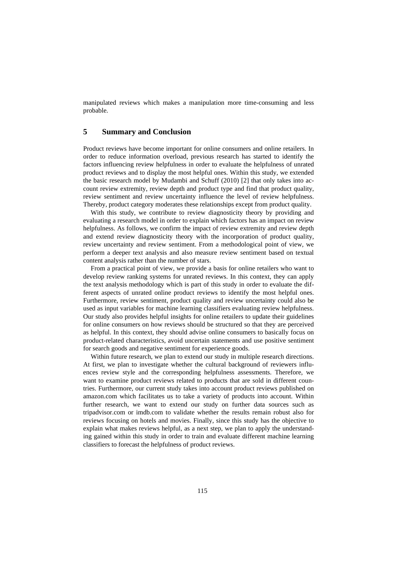manipulated reviews which makes a manipulation more time-consuming and less probable.

# **5 Summary and Conclusion**

Product reviews have become important for online consumers and online retailers. In order to reduce information overload, previous research has started to identify the factors influencing review helpfulness in order to evaluate the helpfulness of unrated product reviews and to display the most helpful ones. Within this study, we extended the basic research model by Mudambi and Schuff (2010) [2] that only takes into account review extremity, review depth and product type and find that product quality, review sentiment and review uncertainty influence the level of review helpfulness. Thereby, product category moderates these relationships except from product quality.

With this study, we contribute to review diagnosticity theory by providing and evaluating a research model in order to explain which factors has an impact on review helpfulness. As follows, we confirm the impact of review extremity and review depth and extend review diagnosticity theory with the incorporation of product quality, review uncertainty and review sentiment. From a methodological point of view, we perform a deeper text analysis and also measure review sentiment based on textual content analysis rather than the number of stars.

From a practical point of view, we provide a basis for online retailers who want to develop review ranking systems for unrated reviews. In this context, they can apply the text analysis methodology which is part of this study in order to evaluate the different aspects of unrated online product reviews to identify the most helpful ones. Furthermore, review sentiment, product quality and review uncertainty could also be used as input variables for machine learning classifiers evaluating review helpfulness. Our study also provides helpful insights for online retailers to update their guidelines for online consumers on how reviews should be structured so that they are perceived as helpful. In this context, they should advise online consumers to basically focus on product-related characteristics, avoid uncertain statements and use positive sentiment for search goods and negative sentiment for experience goods.

Within future research, we plan to extend our study in multiple research directions. At first, we plan to investigate whether the cultural background of reviewers influences review style and the corresponding helpfulness assessments. Therefore, we want to examine product reviews related to products that are sold in different countries. Furthermore, our current study takes into account product reviews published on amazon.com which facilitates us to take a variety of products into account. Within further research, we want to extend our study on further data sources such as tripadvisor.com or imdb.com to validate whether the results remain robust also for reviews focusing on hotels and movies. Finally, since this study has the objective to explain what makes reviews helpful, as a next step, we plan to apply the understanding gained within this study in order to train and evaluate different machine learning classifiers to forecast the helpfulness of product reviews.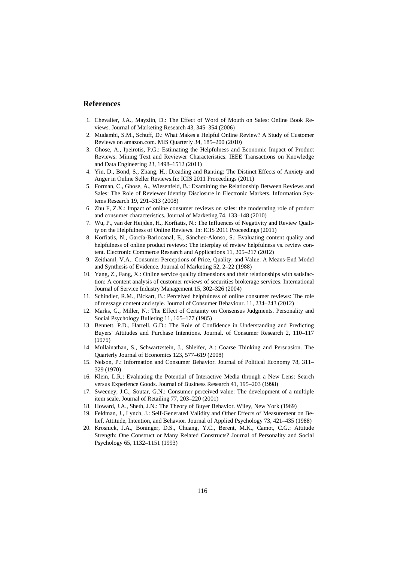# **References**

- 1. Chevalier, J.A., Mayzlin, D.: The Effect of Word of Mouth on Sales: Online Book Reviews. Journal of Marketing Research 43, 345–354 (2006)
- 2. Mudambi, S.M., Schuff, D.: What Makes a Helpful Online Review? A Study of Customer Reviews on amazon.com. MIS Quarterly 34, 185–200 (2010)
- 3. Ghose, A., Ipeirotis, P.G.: Estimating the Helpfulness and Economic Impact of Product Reviews: Mining Text and Reviewer Characteristics. IEEE Transactions on Knowledge and Data Engineering 23, 1498–1512 (2011)
- 4. Yin, D., Bond, S., Zhang, H.: Dreading and Ranting: The Distinct Effects of Anxiety and Anger in Online Seller Reviews.In: ICIS 2011 Proceedings (2011)
- 5. Forman, C., Ghose, A., Wiesenfeld, B.: Examining the Relationship Between Reviews and Sales: The Role of Reviewer Identity Disclosure in Electronic Markets. Information Systems Research 19, 291–313 (2008)
- 6. Zhu F, Z.X.: Impact of online consumer reviews on sales: the moderating role of product and consumer characteristics. Journal of Marketing 74, 133–148 (2010)
- 7. Wu, P., van der Heijden, H., Korfiatis, N.: The Influences of Negativity and Review Quality on the Helpfulness of Online Reviews. In: ICIS 2011 Proceedings (2011)
- 8. Korfiatis, N., García-Bariocanal, E., Sánchez-Alonso, S.: Evaluating content quality and helpfulness of online product reviews: The interplay of review helpfulness vs. review content. Electronic Commerce Research and Applications 11, 205–217 (2012)
- 9. Zeithaml, V.A.: Consumer Perceptions of Price, Quality, and Value: A Means-End Model and Synthesis of Evidence. Journal of Marketing 52, 2–22 (1988)
- 10. Yang, Z., Fang, X.: Online service quality dimensions and their relationships with satisfaction: A content analysis of customer reviews of securities brokerage services. International Journal of Service Industry Management 15, 302–326 (2004)
- 11. Schindler, R.M., Bickart, B.: Perceived helpfulness of online consumer reviews: The role of message content and style. Journal of Consumer Behaviour. 11, 234–243 (2012)
- 12. Marks, G., Miller, N.: The Effect of Certainty on Consensus Judgments. Personality and Social Psychology Bulleting 11, 165–177 (1985)
- 13. Bennett, P.D., Harrell, G.D.: The Role of Confidence in Understanding and Predicting Buyers' Attitudes and Purchase Intentions. Journal. of Consumer Research 2, 110–117 (1975)
- 14. Mullainathan, S., Schwartzstein, J., Shleifer, A.: Coarse Thinking and Persuasion. The Quarterly Journal of Economics 123, 577–619 (2008)
- 15. Nelson, P.: Information and Consumer Behavior. Journal of Political Economy 78, 311– 329 (1970)
- 16. Klein, L.R.: Evaluating the Potential of Interactive Media through a New Lens: Search versus Experience Goods. Journal of Business Research 41, 195–203 (1998)
- 17. Sweeney, J.C., Soutar, G.N.: Consumer perceived value: The development of a multiple item scale. Journal of Retailing 77, 203–220 (2001)
- 18. Howard, J.A., Sheth, J.N.: The Theory of Buyer Behavior. Wiley, New York (1969)
- 19. Feldman, J., Lynch, J.: Self-Generated Validity and Other Effects of Measurement on Belief, Attitude, Intention, and Behavior. Journal of Applied Psychology 73, 421–435 (1988)
- 20. Krosnick, J.A., Boninger, D.S., Chuang, Y.C., Berent, M.K., Camot, C.G.: Attitude Strength: One Construct or Many Related Constructs? Journal of Personality and Social Psychology 65, 1132–1151 (1993)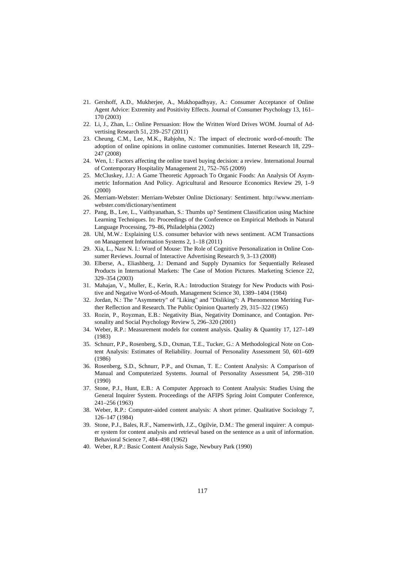- 21. Gershoff, A.D., Mukherjee, A., Mukhopadhyay, A.: Consumer Acceptance of Online Agent Advice: Extremity and Positivity Effects. Journal of Consumer Psychology 13, 161– 170 (2003)
- 22. Li, J., Zhan, L.: Online Persuasion: How the Written Word Drives WOM. Journal of Advertising Research 51, 239–257 (2011)
- 23. Cheung, C.M., Lee, M.K., Rabjohn, N.: The impact of electronic word-of-mouth: The adoption of online opinions in online customer communities. Internet Research 18, 229– 247 (2008)
- 24. Wen, I.: Factors affecting the online travel buying decision: a review. International Journal of Contemporary Hospitality Management 21, 752–765 (2009)
- 25. McCluskey, J.J.: A Game Theoretic Approach To Organic Foods: An Analysis Of Asymmetric Information And Policy. Agricultural and Resource Economics Review 29, 1–9 (2000)
- 26. Merriam-Webster: Merriam-Webster Online Dictionary: Sentiment. http://www.merriamwebster.com/dictionary/sentiment
- 27. Pang, B., Lee, L., Vaithyanathan, S.: Thumbs up? Sentiment Classification using Machine Learning Techniques. In: Proceedings of the Conference on Empirical Methods in Natural Language Processing, 79–86, Philadelphia (2002)
- 28. Uhl, M.W.: Explaining U.S. consumer behavior with news sentiment. ACM Transactions on Management Information Systems 2, 1–18 (2011)
- 29. Xia, L., Nasr N. I.: Word of Mouse: The Role of Cognitive Personalization in Online Consumer Reviews. Journal of Interactive Advertising Research 9, 3–13 (2008)
- 30. Elberse, A., Eliashberg, J.: Demand and Supply Dynamics for Sequentially Released Products in International Markets: The Case of Motion Pictures. Marketing Science 22, 329–354 (2003)
- 31. Mahajan, V., Muller, E., Kerin, R.A.: Introduction Strategy for New Products with Positive and Negative Word-of-Mouth. Management Science 30, 1389–1404 (1984)
- 32. Jordan, N.: The "Asymmetry" of "Liking" and "Disliking": A Phenomenon Meriting Further Reflection and Research. The Public Opinion Quarterly 29, 315–322 (1965)
- 33. Rozin, P., Royzman, E.B.: Negativity Bias, Negativity Dominance, and Contagion. Personality and Social Psychology Review 5, 296–320 (2001)
- 34. Weber, R.P.: Measurement models for content analysis. Quality & Quantity 17, 127–149 (1983)
- 35. Schnurr, P.P., Rosenberg, S.D., Oxman, T.E., Tucker, G.: A Methodological Note on Content Analysis: Estimates of Reliability. Journal of Personality Assessment 50, 601–609 (1986)
- 36. Rosenberg, S.D., Schnurr, P.P., and Oxman, T. E.: Content Analysis: A Comparison of Manual and Computerized Systems. Journal of Personality Assessment 54, 298–310 (1990)
- 37. Stone, P.J., Hunt, E.B.: A Computer Approach to Content Analysis: Studies Using the General Inquirer System. Proceedings of the AFIPS Spring Joint Computer Conference, 241–256 (1963)
- 38. Weber, R.P.: Computer-aided content analysis: A short primer. Qualitative Sociology 7, 126–147 (1984)
- 39. Stone, P.J., Bales, R.F., Namenwirth, J.Z., Ogilvie, D.M.: The general inquirer: A computer system for content analysis and retrieval based on the sentence as a unit of information. Behavioral Science 7, 484–498 (1962)
- 40. Weber, R.P.: Basic Content Analysis Sage, Newbury Park (1990)